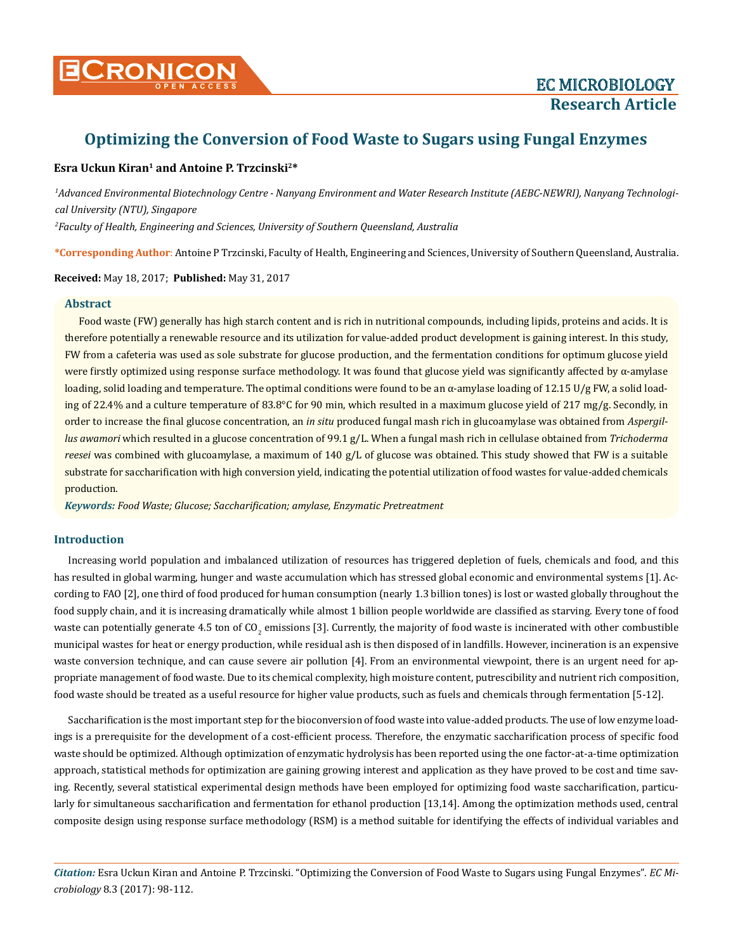

# **Optimizing the Conversion of Food Waste to Sugars using Fungal Enzymes**

# **Esra Uckun Kiran1 and Antoine P. Trzcinski2\***

*1 Advanced Environmental Biotechnology Centre - Nanyang Environment and Water Research Institute (AEBC-NEWRI), Nanyang Technological University (NTU), Singapore 2 Faculty of Health, Engineering and Sciences, University of Southern Queensland, Australia*

**\*Corresponding Author**: Antoine P Trzcinski, Faculty of Health, Engineering and Sciences, University of Southern Queensland, Australia.

**Received:** May 18, 2017; **Published:** May 31, 2017

## **Abstract**

Food waste (FW) generally has high starch content and is rich in nutritional compounds, including lipids, proteins and acids. It is therefore potentially a renewable resource and its utilization for value-added product development is gaining interest. In this study, FW from a cafeteria was used as sole substrate for glucose production, and the fermentation conditions for optimum glucose yield were firstly optimized using response surface methodology. It was found that glucose yield was significantly affected by  $\alpha$ -amylase loading, solid loading and temperature. The optimal conditions were found to be an α-amylase loading of 12.15 U/g FW, a solid loading of 22.4% and a culture temperature of 83.8°C for 90 min, which resulted in a maximum glucose yield of 217 mg/g. Secondly, in order to increase the final glucose concentration, an *in situ* produced fungal mash rich in glucoamylase was obtained from *Aspergillus awamori* which resulted in a glucose concentration of 99.1 g/L. When a fungal mash rich in cellulase obtained from *Trichoderma reesei* was combined with glucoamylase, a maximum of 140 g/L of glucose was obtained. This study showed that FW is a suitable substrate for saccharification with high conversion yield, indicating the potential utilization of food wastes for value-added chemicals production.

*Keywords: Food Waste; Glucose; Saccharification; amylase, Enzymatic Pretreatment*

# **Introduction**

Increasing world population and imbalanced utilization of resources has triggered depletion of fuels, chemicals and food, and this has resulted in global warming, hunger and waste accumulation which has stressed global economic and environmental systems [1]. According to FAO [2], one third of food produced for human consumption (nearly 1.3 billion tones) is lost or wasted globally throughout the food supply chain, and it is increasing dramatically while almost 1 billion people worldwide are classified as starving. Every tone of food waste can potentially generate 4.5 ton of CO<sub>2</sub> emissions [3]. Currently, the majority of food waste is incinerated with other combustible municipal wastes for heat or energy production, while residual ash is then disposed of in landfills. However, incineration is an expensive waste conversion technique, and can cause severe air pollution [4]. From an environmental viewpoint, there is an urgent need for appropriate management of food waste. Due to its chemical complexity, high moisture content, putrescibility and nutrient rich composition, food waste should be treated as a useful resource for higher value products, such as fuels and chemicals through fermentation [5-12].

Saccharification is the most important step for the bioconversion of food waste into value-added products. The use of low enzyme loadings is a prerequisite for the development of a cost-efficient process. Therefore, the enzymatic saccharification process of specific food waste should be optimized. Although optimization of enzymatic hydrolysis has been reported using the one factor-at-a-time optimization approach, statistical methods for optimization are gaining growing interest and application as they have proved to be cost and time saving. Recently, several statistical experimental design methods have been employed for optimizing food waste saccharification, particularly for simultaneous saccharification and fermentation for ethanol production [13,14]. Among the optimization methods used, central composite design using response surface methodology (RSM) is a method suitable for identifying the effects of individual variables and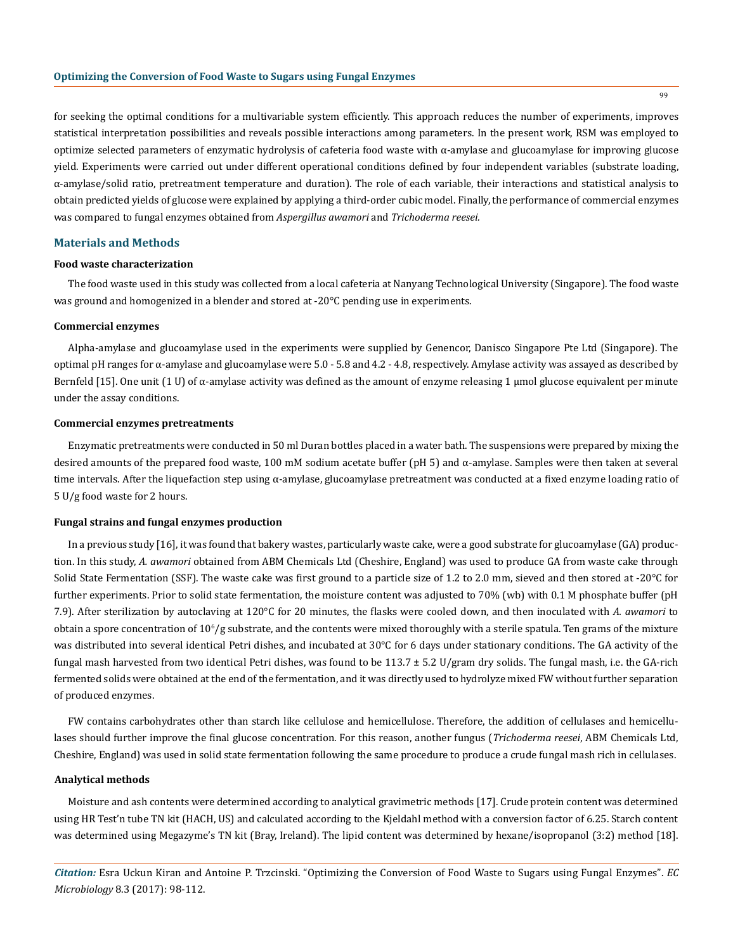for seeking the optimal conditions for a multivariable system efficiently. This approach reduces the number of experiments, improves statistical interpretation possibilities and reveals possible interactions among parameters. In the present work, RSM was employed to optimize selected parameters of enzymatic hydrolysis of cafeteria food waste with α-amylase and glucoamylase for improving glucose yield. Experiments were carried out under different operational conditions defined by four independent variables (substrate loading, α-amylase/solid ratio, pretreatment temperature and duration). The role of each variable, their interactions and statistical analysis to obtain predicted yields of glucose were explained by applying a third-order cubic model. Finally, the performance of commercial enzymes was compared to fungal enzymes obtained from *Aspergillus awamori* and *Trichoderma reesei.*

#### **Materials and Methods**

#### **Food waste characterization**

The food waste used in this study was collected from a local cafeteria at Nanyang Technological University (Singapore). The food waste was ground and homogenized in a blender and stored at -20°C pending use in experiments.

#### **Commercial enzymes**

Alpha-amylase and glucoamylase used in the experiments were supplied by Genencor, Danisco Singapore Pte Ltd (Singapore). The optimal pH ranges for α-amylase and glucoamylase were  $5.0 - 5.8$  and  $4.2 - 4.8$ , respectively. Amylase activity was assayed as described by Bernfeld [15]. One unit (1 U) of α-amylase activity was defined as the amount of enzyme releasing 1 μmol glucose equivalent per minute under the assay conditions.

#### **Commercial enzymes pretreatments**

Enzymatic pretreatments were conducted in 50 ml Duran bottles placed in a water bath. The suspensions were prepared by mixing the desired amounts of the prepared food waste, 100 mM sodium acetate buffer (pH 5) and α-amylase. Samples were then taken at several time intervals. After the liquefaction step using  $\alpha$ -amylase, glucoamylase pretreatment was conducted at a fixed enzyme loading ratio of 5 U/g food waste for 2 hours.

#### **Fungal strains and fungal enzymes production**

In a previous study [16], it was found that bakery wastes, particularly waste cake, were a good substrate for glucoamylase (GA) production. In this study, *A. awamori* obtained from ABM Chemicals Ltd (Cheshire, England) was used to produce GA from waste cake through Solid State Fermentation (SSF). The waste cake was first ground to a particle size of 1.2 to 2.0 mm, sieved and then stored at -20°C for further experiments. Prior to solid state fermentation, the moisture content was adjusted to 70% (wb) with 0.1 M phosphate buffer (pH 7.9). After sterilization by autoclaving at 120°C for 20 minutes, the flasks were cooled down, and then inoculated with *A. awamori* to obtain a spore concentration of  $10^{\circ}/\text{g}$  substrate, and the contents were mixed thoroughly with a sterile spatula. Ten grams of the mixture was distributed into several identical Petri dishes, and incubated at 30°C for 6 days under stationary conditions. The GA activity of the fungal mash harvested from two identical Petri dishes, was found to be 113.7 ± 5.2 U/gram dry solids. The fungal mash, i.e. the GA-rich fermented solids were obtained at the end of the fermentation, and it was directly used to hydrolyze mixed FW without further separation of produced enzymes.

FW contains carbohydrates other than starch like cellulose and hemicellulose. Therefore, the addition of cellulases and hemicellulases should further improve the final glucose concentration. For this reason, another fungus (*Trichoderma reesei*, ABM Chemicals Ltd, Cheshire, England) was used in solid state fermentation following the same procedure to produce a crude fungal mash rich in cellulases.

#### **Analytical methods**

Moisture and ash contents were determined according to analytical gravimetric methods [17]. Crude protein content was determined using HR Test'n tube TN kit (HACH, US) and calculated according to the Kjeldahl method with a conversion factor of 6.25. Starch content was determined using Megazyme's TN kit (Bray, Ireland). The lipid content was determined by hexane/isopropanol (3:2) method [18].

*Citation:* Esra Uckun Kiran and Antoine P. Trzcinski. "Optimizing the Conversion of Food Waste to Sugars using Fungal Enzymes". *EC Microbiology* 8.3 (2017): 98-112.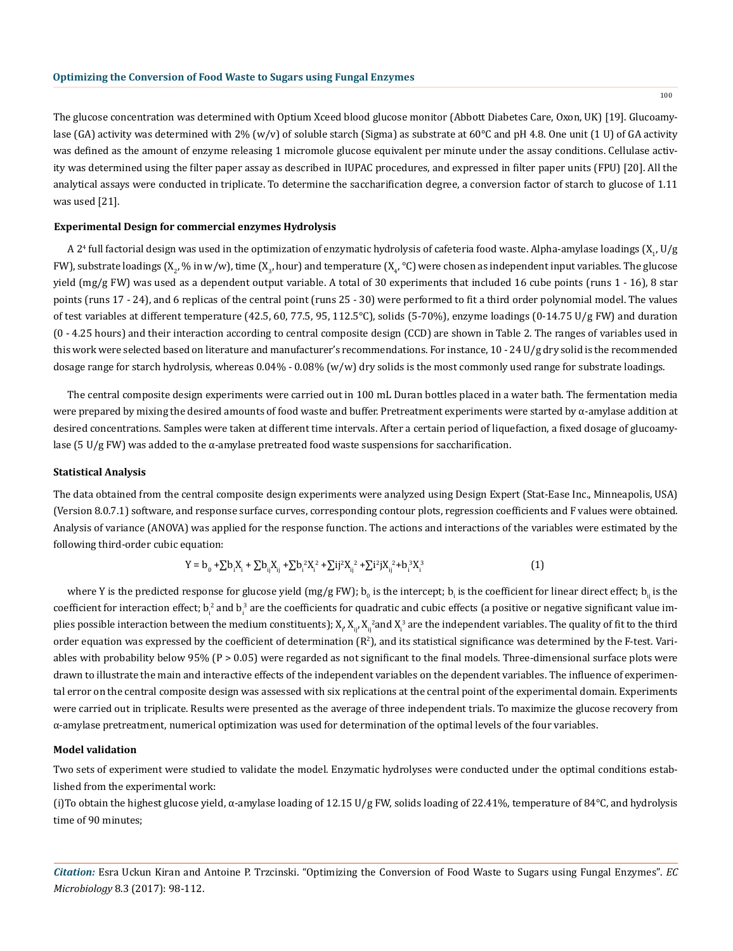The glucose concentration was determined with Optium Xceed blood glucose monitor (Abbott Diabetes Care, Oxon, UK) [19]. Glucoamylase (GA) activity was determined with 2% (w/v) of soluble starch (Sigma) as substrate at 60°C and pH 4.8. One unit (1 U) of GA activity was defined as the amount of enzyme releasing 1 micromole glucose equivalent per minute under the assay conditions. Cellulase activity was determined using the filter paper assay as described in IUPAC procedures, and expressed in filter paper units (FPU) [20]. All the analytical assays were conducted in triplicate. To determine the saccharification degree, a conversion factor of starch to glucose of 1.11 was used [21].

# **Experimental Design for commercial enzymes Hydrolysis**

A 2<sup>4</sup> full factorial design was used in the optimization of enzymatic hydrolysis of cafeteria food waste. Alpha-amylase loadings (X<sub>1</sub>, U/g FW), substrate loadings (X<sub>2</sub>, % in w/w), time (X<sub>3</sub>, hour) and temperature (X<sub>4</sub>, °C) were chosen as independent input variables. The glucose yield (mg/g FW) was used as a dependent output variable. A total of 30 experiments that included 16 cube points (runs 1 - 16), 8 star points (runs 17 - 24), and 6 replicas of the central point (runs 25 - 30) were performed to fit a third order polynomial model. The values of test variables at different temperature (42.5, 60, 77.5, 95, 112.5°C), solids (5-70%), enzyme loadings (0-14.75 U/g FW) and duration (0 - 4.25 hours) and their interaction according to central composite design (CCD) are shown in Table 2. The ranges of variables used in this work were selected based on literature and manufacturer's recommendations. For instance, 10 - 24 U/g dry solid is the recommended dosage range for starch hydrolysis, whereas  $0.04\%$  -  $0.08\%$  (w/w) dry solids is the most commonly used range for substrate loadings.

The central composite design experiments were carried out in 100 mL Duran bottles placed in a water bath. The fermentation media were prepared by mixing the desired amounts of food waste and buffer. Pretreatment experiments were started by α-amylase addition at desired concentrations. Samples were taken at different time intervals. After a certain period of liquefaction, a fixed dosage of glucoamylase (5 U/g FW) was added to the α-amylase pretreated food waste suspensions for saccharification.

#### **Statistical Analysis**

The data obtained from the central composite design experiments were analyzed using Design Expert (Stat-Ease Inc., Minneapolis, USA) (Version 8.0.7.1) software, and response surface curves, corresponding contour plots, regression coefficients and F values were obtained. Analysis of variance (ANOVA) was applied for the response function. The actions and interactions of the variables were estimated by the following third-order cubic equation:

$$
Y = b_0 + \sum b_i X_i + \sum b_{ij} X_{ij} + \sum b_i^2 X_i^2 + \sum i j^2 X_{ij}^2 + \sum i^2 j X_{ij}^2 + b_i^3 X_i^3
$$
 (1)

where Y is the predicted response for glucose yield (mg/g FW);  $b_{_0}$  is the intercept;  $b_{_{\rm i}}$  is the coefficient for linear direct effect;  $b_{_{\rm ij}}$  is the coefficient for interaction effect; b<sub>i</sub> and b<sub>i</sub> are the coefficients for quadratic and cubic effects (a positive or negative significant value implies possible interaction between the medium constituents);  $X_{\mu}$   $X_{\mu}$  and  $X_{\mu}$  are the independent variables. The quality of fit to the third order equation was expressed by the coefficient of determination  $(\mathbb{R}^2)$ , and its statistical significance was determined by the F-test. Variables with probability below 95% (P > 0.05) were regarded as not significant to the final models. Three-dimensional surface plots were drawn to illustrate the main and interactive effects of the independent variables on the dependent variables. The influence of experimental error on the central composite design was assessed with six replications at the central point of the experimental domain. Experiments were carried out in triplicate. Results were presented as the average of three independent trials. To maximize the glucose recovery from α-amylase pretreatment, numerical optimization was used for determination of the optimal levels of the four variables.

#### **Model validation**

Two sets of experiment were studied to validate the model. Enzymatic hydrolyses were conducted under the optimal conditions established from the experimental work:

(i)To obtain the highest glucose yield,  $\alpha$ -amylase loading of 12.15 U/g FW, solids loading of 22.41%, temperature of 84°C, and hydrolysis time of 90 minutes;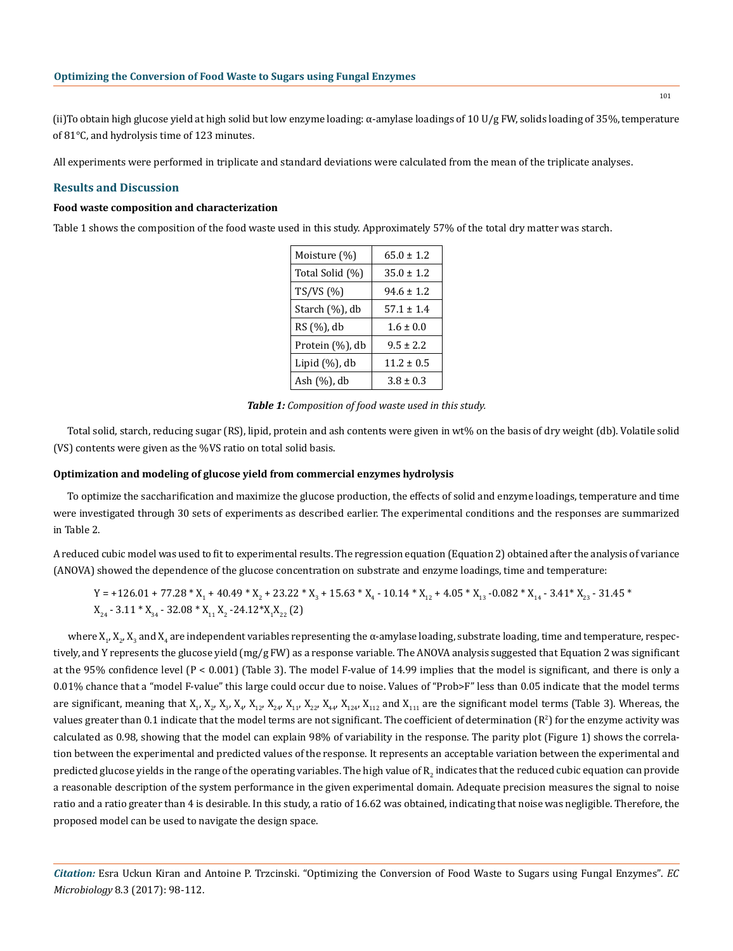(ii) To obtain high glucose yield at high solid but low enzyme loading:  $\alpha$ -amylase loadings of 10 U/g FW, solids loading of 35%, temperature of 81°C, and hydrolysis time of 123 minutes.

All experiments were performed in triplicate and standard deviations were calculated from the mean of the triplicate analyses.

# **Results and Discussion**

# **Food waste composition and characterization**

Table 1 shows the composition of the food waste used in this study. Approximately 57% of the total dry matter was starch.

| Moisture (%)    | $65.0 \pm 1.2$ |
|-----------------|----------------|
| Total Solid (%) | $35.0 + 1.2$   |
| TS/VS (%)       | $94.6 \pm 1.2$ |
| Starch (%), db  | $57.1 \pm 1.4$ |
| RS (%), db      | $1.6 \pm 0.0$  |
| Protein (%), db | $9.5 \pm 2.2$  |
| Lipid (%), db   | $11.2 \pm 0.5$ |
| Ash (%), db     | $3.8 + 0.3$    |

|  | Table 1: Composition of food waste used in this study. |  |
|--|--------------------------------------------------------|--|
|--|--------------------------------------------------------|--|

Total solid, starch, reducing sugar (RS), lipid, protein and ash contents were given in wt% on the basis of dry weight (db). Volatile solid (VS) contents were given as the %VS ratio on total solid basis.

#### **Optimization and modeling of glucose yield from commercial enzymes hydrolysis**

To optimize the saccharification and maximize the glucose production, the effects of solid and enzyme loadings, temperature and time were investigated through 30 sets of experiments as described earlier. The experimental conditions and the responses are summarized in Table 2.

A reduced cubic model was used to fit to experimental results. The regression equation (Equation 2) obtained after the analysis of variance (ANOVA) showed the dependence of the glucose concentration on substrate and enzyme loadings, time and temperature:

# $Y = +126.01 + 77.28 * X_1 + 40.49 * X_2 + 23.22 * X_3 + 15.63 * X_4 - 10.14 * X_{12} + 4.05 * X_{13} - 0.082 * X_{14} - 3.41 * X_{23} - 31.45 *$  $X_{24}$  - 3.11 \*  $X_{34}$  - 32.08 \*  $X_{11}$   $X_2$  -24.12\* $X_1X_{22}$  (2)

where X<sub>1</sub>, X<sub>2</sub>, X<sub>3</sub> and X<sub>4</sub> are independent variables representing the α-amylase loading, substrate loading, time and temperature, respectively, and Y represents the glucose yield (mg/g FW) as a response variable. The ANOVA analysis suggested that Equation 2 was significant at the 95% confidence level  $(P < 0.001)$  (Table 3). The model F-value of 14.99 implies that the model is significant, and there is only a 0.01% chance that a "model F-value" this large could occur due to noise. Values of "Prob>F" less than 0.05 indicate that the model terms are significant, meaning that  $X_1$ ,  $X_2$ ,  $X_3$ ,  $X_4$ ,  $X_{12}$ ,  $X_{24}$ ,  $X_{11}$ ,  $X_{22}$ ,  $X_{44}$ ,  $X_{124}$ ,  $X_{112}$  and  $X_{111}$  are the significant model terms (Table 3). Whereas, the values greater than  $0.1$  indicate that the model terms are not significant. The coefficient of determination  $(\mathrm{R}^2)$  for the enzyme activity was calculated as 0.98, showing that the model can explain 98% of variability in the response. The parity plot (Figure 1) shows the correlation between the experimental and predicted values of the response. It represents an acceptable variation between the experimental and predicted glucose yields in the range of the operating variables. The high value of  $\rm R_{2}$  indicates that the reduced cubic equation can provide a reasonable description of the system performance in the given experimental domain. Adequate precision measures the signal to noise ratio and a ratio greater than 4 is desirable. In this study, a ratio of 16.62 was obtained, indicating that noise was negligible. Therefore, the proposed model can be used to navigate the design space.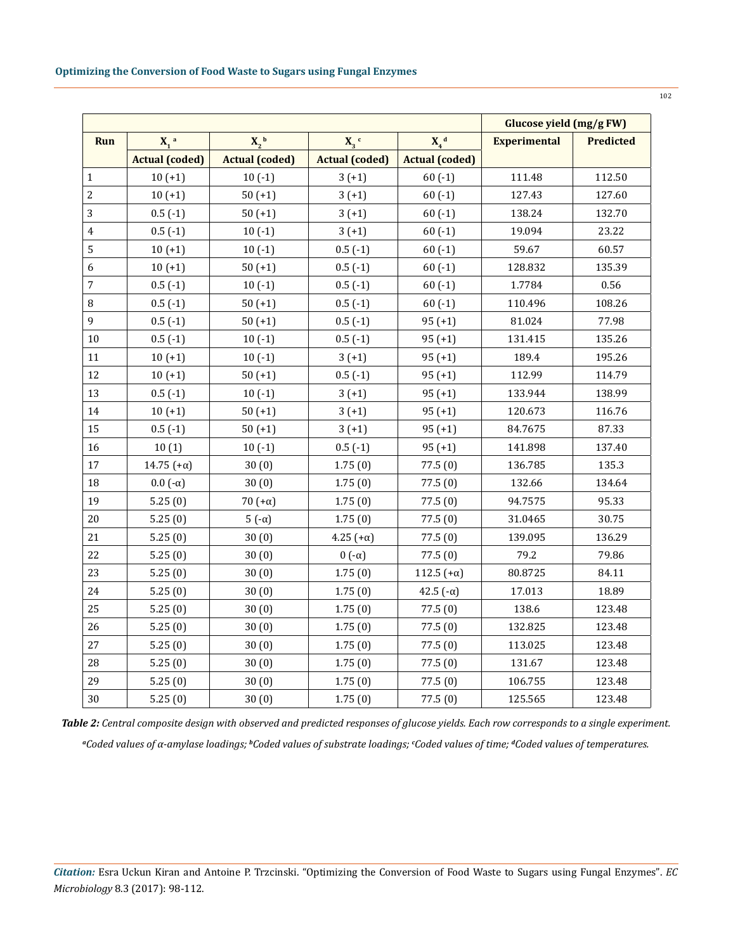|             |                       |                       |                                          |                       |                     | Glucose yield (mg/g FW) |  |  |
|-------------|-----------------------|-----------------------|------------------------------------------|-----------------------|---------------------|-------------------------|--|--|
| <b>Run</b>  | $X_1$ <sup>a</sup>    | $X_2^{\ b}$           | $X_d$ <sup>d</sup><br>$X_3$ <sup>c</sup> |                       | <b>Experimental</b> | <b>Predicted</b>        |  |  |
|             | <b>Actual (coded)</b> | <b>Actual (coded)</b> | <b>Actual (coded)</b>                    | <b>Actual (coded)</b> |                     |                         |  |  |
| $\mathbf 1$ | $10 (+1)$             | $10(-1)$              | $3(+1)$                                  | $60(-1)$              | 111.48              | 112.50                  |  |  |
| $\sqrt{2}$  | $10 (+1)$             | $50 (+1)$             | $3(+1)$                                  | $60(-1)$              | 127.43              | 127.60                  |  |  |
| 3           | $0.5(-1)$             | $50 (+1)$             | $3(+1)$                                  | $60(-1)$              | 138.24              | 132.70                  |  |  |
| $\pmb{4}$   | $0.5(-1)$             | $10(-1)$              | $3(+1)$                                  | $60(-1)$              | 19.094              | 23.22                   |  |  |
| $\mathbf 5$ | $10 (+1)$             | $10(-1)$              | $0.5(-1)$                                | $60(-1)$              | 59.67               | 60.57                   |  |  |
| 6           | $10 (+1)$             | $50 (+1)$             | $0.5(-1)$                                | $60(-1)$              | 128.832             | 135.39                  |  |  |
| $\sqrt{ }$  | $0.5(-1)$             | $10(-1)$              | $0.5(-1)$                                | $60(-1)$              | 1.7784              | 0.56                    |  |  |
| $\, 8$      | $0.5(-1)$             | $50 (+1)$             | $0.5(-1)$                                | $60(-1)$              | 110.496             | 108.26                  |  |  |
| 9           | $0.5(-1)$             | $50 (+1)$             | $0.5(-1)$                                | $95 (+1)$             | 81.024              | 77.98                   |  |  |
| 10          | $0.5(-1)$             | $10(-1)$              | $0.5(-1)$                                | $95 (+1)$             | 131.415             | 135.26                  |  |  |
| 11          | $10 (+1)$             | $10(-1)$              | $3(+1)$                                  | $95 (+1)$             | 189.4               | 195.26                  |  |  |
| 12          | $10 (+1)$             | $50 (+1)$             | $0.5(-1)$                                | $95 (+1)$             | 112.99              | 114.79                  |  |  |
| 13          | $0.5(-1)$             | $10(-1)$              | $3(+1)$                                  | $95 (+1)$             | 133.944             | 138.99                  |  |  |
| 14          | $10 (+1)$             | $50 (+1)$             | $3(+1)$                                  | $95 (+1)$             | 120.673             | 116.76                  |  |  |
| 15          | $0.5(-1)$             | $50 (+1)$             | $3(+1)$                                  | $95 (+1)$             | 84.7675             | 87.33                   |  |  |
| 16          | 10(1)                 | $10(-1)$              | $0.5(-1)$                                | $95 (+1)$             | 141.898             | 137.40                  |  |  |
| 17          | 14.75 $(+\alpha)$     | 30(0)                 | 1.75(0)                                  | 77.5 (0)              | 136.785             | 135.3                   |  |  |
| 18          | $0.0$ (- $\alpha$ )   | 30(0)                 | 1.75(0)                                  | 77.5(0)               | 132.66              | 134.64                  |  |  |
| 19          | 5.25(0)               | 70 $(+\alpha)$        | 1.75(0)                                  | 77.5(0)               | 94.7575             | 95.33                   |  |  |
| 20          | 5.25(0)               | $5(-\alpha)$          | 1.75(0)                                  | 77.5(0)               | 31.0465             | 30.75                   |  |  |
| 21          | 5.25(0)               | 30(0)                 | $4.25 (+\alpha)$                         | 77.5(0)               | 139.095             | 136.29                  |  |  |
| 22          | 5.25(0)               | 30(0)                 | $0(-\alpha)$                             | 77.5(0)               | 79.2                | 79.86                   |  |  |
| 23          | 5.25(0)               | 30(0)                 | 1.75(0)                                  | 112.5 $(+\alpha)$     | 80.8725             | 84.11                   |  |  |
| 24          | 5.25(0)               | 30(0)                 | 1.75(0)                                  | 42.5 $(-\alpha)$      | 17.013              | 18.89                   |  |  |
| 25          | 5.25(0)               | 30(0)                 | 1.75(0)                                  | 77.5(0)               | 138.6               | 123.48                  |  |  |
| 26          | 5.25(0)               | 30(0)                 | 1.75(0)                                  | 77.5(0)               | 132.825             | 123.48                  |  |  |
| 27          | 5.25(0)               | 30(0)                 | 1.75(0)                                  | 77.5 (0)              | 113.025             | 123.48                  |  |  |
| 28          | 5.25(0)               | 30(0)                 | 1.75(0)                                  | 77.5 (0)              | 131.67              | 123.48                  |  |  |
| 29          | 5.25(0)               | 30(0)                 | 1.75(0)                                  | 77.5(0)               | 106.755             | 123.48                  |  |  |
| 30          | 5.25(0)               | 30(0)                 | 1.75(0)                                  | 77.5(0)               | 125.565             | 123.48                  |  |  |

*Table 2: Central composite design with observed and predicted responses of glucose yields. Each row corresponds to a single experiment.*

*a Coded values of α-amylase loadings; <sup>b</sup> Coded values of substrate loadings; <sup>c</sup> Coded values of time; <sup>d</sup> Coded values of temperatures.*

*Citation:* Esra Uckun Kiran and Antoine P. Trzcinski. "Optimizing the Conversion of Food Waste to Sugars using Fungal Enzymes". *EC Microbiology* 8.3 (2017): 98-112.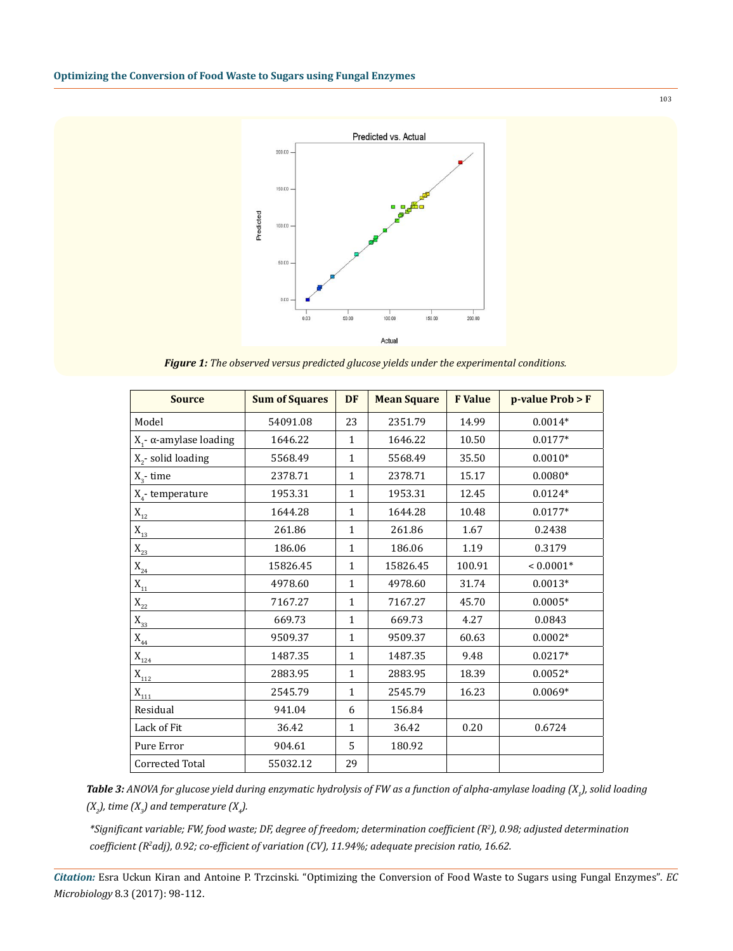

*Figure 1: The observed versus predicted glucose yields under the experimental conditions.*

| <b>Source</b>                  | <b>Sum of Squares</b> | <b>DF</b>    | <b>Mean Square</b> | <b>F</b> Value | $p$ -value Prob > F |
|--------------------------------|-----------------------|--------------|--------------------|----------------|---------------------|
| Model                          | 54091.08              | 23           | 2351.79            | 14.99          | $0.0014*$           |
| $X_1$ - α-amylase loading      | 1646.22               | $\mathbf{1}$ | 1646.22            | 10.50          | $0.0177*$           |
| X <sub>2</sub> -solid loading  | 5568.49               | $\mathbf{1}$ | 5568.49            | 35.50          | $0.0010*$           |
| $X_3$ - time                   | 2378.71               | $\mathbf{1}$ | 2378.71            | 15.17          | $0.0080*$           |
| $X_4$ - temperature            | 1953.31               | $\mathbf{1}$ | 1953.31            | 12.45          | $0.0124*$           |
| $\mathbf{X}_{\mathbf{12}}$     | 1644.28               | $\mathbf{1}$ | 1644.28            | 10.48          | $0.0177*$           |
| $\mathbf{X}_{\mathbf{13}}$     | 261.86                | $\mathbf{1}$ | 261.86             | 1.67           | 0.2438              |
| $\mathbf{X}_{\mathbf{23}}$     | 186.06                | $\mathbf{1}$ | 186.06             | 1.19           | 0.3179              |
| $\mathbf{X}_{\mathbf{24}}$     | 15826.45              | $\mathbf{1}$ | 15826.45           | 100.91         | $< 0.0001*$         |
| $\mathbf{X}_{\mathbf{11}}$     | 4978.60               | $\mathbf{1}$ | 4978.60            | 31.74          | $0.0013*$           |
| $\mathbf{X}_{\mathbf{22}}$     | 7167.27               | $\mathbf{1}$ | 7167.27            | 45.70          | $0.0005*$           |
| $X_{33}$                       | 669.73                | $\mathbf{1}$ | 669.73             | 4.27           | 0.0843              |
| $\mathbf{X}_{_{44}}$           | 9509.37               | $\mathbf{1}$ | 9509.37            | 60.63          | $0.0002*$           |
| $X_{124}$                      | 1487.35               | $\mathbf{1}$ | 1487.35            | 9.48           | $0.0217*$           |
| $\mathbf{X}_{\mathbf{112}}$    | 2883.95               | $\mathbf{1}$ | 2883.95            | 18.39          | $0.0052*$           |
| $\mathbf{X}_{\underline{111}}$ | 2545.79               | $\mathbf{1}$ | 2545.79            | 16.23          | $0.0069*$           |
| Residual                       | 941.04                | 6            | 156.84             |                |                     |
| Lack of Fit                    | 36.42                 | 1            | 36.42              | 0.20           | 0.6724              |
| Pure Error                     | 904.61                | 5            | 180.92             |                |                     |
| Corrected Total                | 55032.12              | 29           |                    |                |                     |

*Table 3: ANOVA for glucose yield during enzymatic hydrolysis of FW as a function of alpha-amylase loading (X<sup>1</sup> ), solid loading*   $(X_{2})$ , time  $(X_{3})$  and temperature  $(X_{4})$ .

*\*Significant variable; FW, food waste; DF, degree of freedom; determination coefficient (R<sup>2</sup> ), 0.98; adjusted determination coefficient (R<sup>2</sup> adj), 0.92; co-efficient of variation (CV), 11.94%; adequate precision ratio, 16.62.*

*Citation:* Esra Uckun Kiran and Antoine P. Trzcinski. "Optimizing the Conversion of Food Waste to Sugars using Fungal Enzymes". *EC Microbiology* 8.3 (2017): 98-112.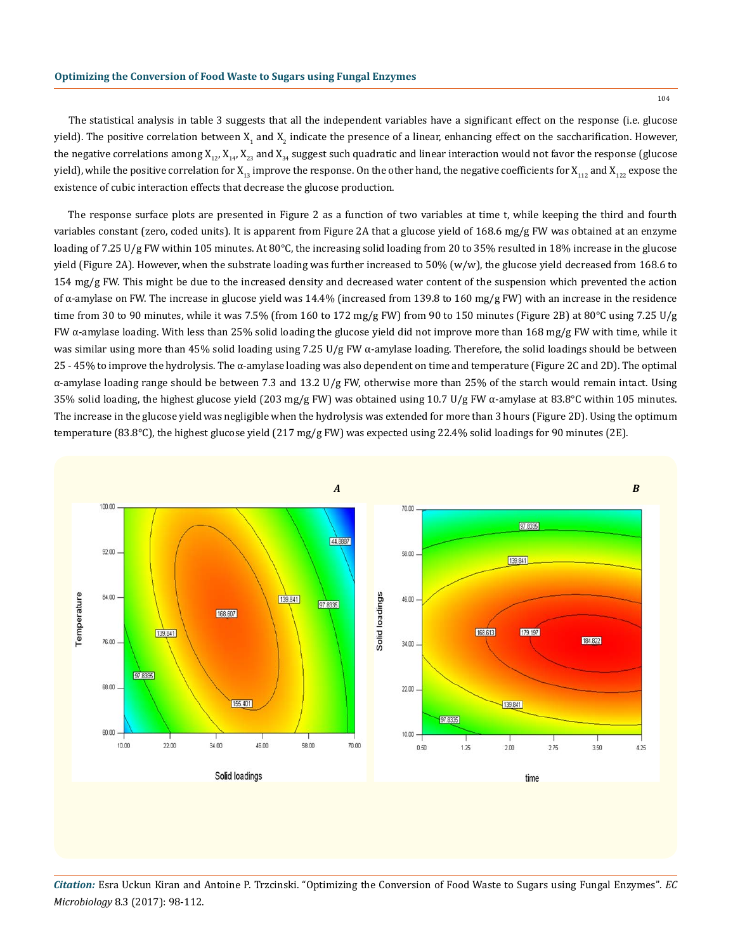104

The statistical analysis in table 3 suggests that all the independent variables have a significant effect on the response (i.e. glucose yield). The positive correlation between  $X_1$  and  $X_2$  indicate the presence of a linear, enhancing effect on the saccharification. However, the negative correlations among  $X_{1,2}$ ,  $X_{1,2}$ ,  $X_{2,3}$  and  $X_{3,4}$  suggest such quadratic and linear interaction would not favor the response (glucose yield), while the positive correlation for  $X_{13}$  improve the response. On the other hand, the negative coefficients for  $X_{112}$  and  $X_{122}$  expose the existence of cubic interaction effects that decrease the glucose production.

The response surface plots are presented in Figure 2 as a function of two variables at time t, while keeping the third and fourth variables constant (zero, coded units). It is apparent from Figure 2A that a glucose yield of 168.6 mg/g FW was obtained at an enzyme loading of 7.25 U/g FW within 105 minutes. At 80°C, the increasing solid loading from 20 to 35% resulted in 18% increase in the glucose yield (Figure 2A). However, when the substrate loading was further increased to 50% (w/w), the glucose yield decreased from 168.6 to  $154 \text{ mg/g FW}$ . This might be due to the increased density and decreased water content of the suspension which prevented the action of α-amylase on FW. The increase in glucose yield was 14.4% (increased from 139.8 to 160 mg/g FW) with an increase in the residence time from 30 to 90 minutes, while it was 7.5% (from 160 to 172 mg/g FW) from 90 to 150 minutes (Figure 2B) at 80°C using 7.25 U/g FW  $\alpha$ -amylase loading. With less than 25% solid loading the glucose yield did not improve more than 168 mg/g FW with time, while it was similar using more than 45% solid loading using 7.25 U/g FW  $\alpha$ -amylase loading. Therefore, the solid loadings should be between 25 - 45% to improve the hydrolysis. The α-amylase loading was also dependent on time and temperature (Figure 2C and 2D). The optimal α-amylase loading range should be between 7.3 and 13.2 U/g FW, otherwise more than 25% of the starch would remain intact. Using 35% solid loading, the highest glucose yield (203 mg/g FW) was obtained using 10.7 U/g FW  $\alpha$ -amylase at 83.8°C within 105 minutes. The increase in the glucose yield was negligible when the hydrolysis was extended for more than 3 hours (Figure 2D). Using the optimum temperature (83.8°C), the highest glucose yield (217 mg/g FW) was expected using 22.4% solid loadings for 90 minutes (2E).



*Citation:* Esra Uckun Kiran and Antoine P. Trzcinski. "Optimizing the Conversion of Food Waste to Sugars using Fungal Enzymes". *EC Microbiology* 8.3 (2017): 98-112.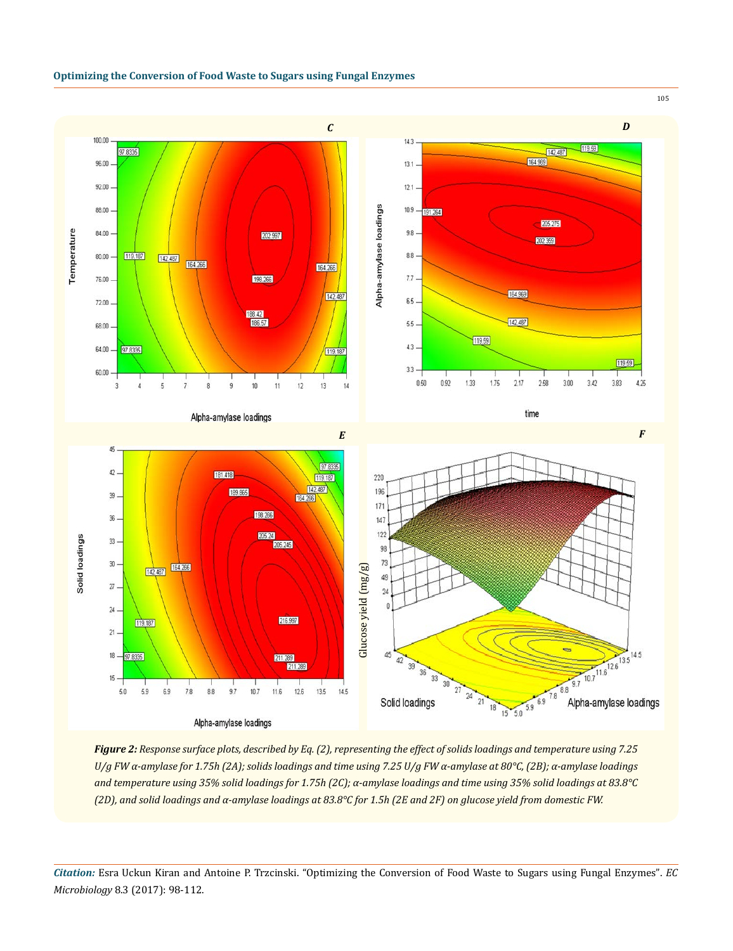



*Figure 2: Response surface plots, described by Eq. (2), representing the effect of solids loadings and temperature using 7.25 U/g FW α-amylase for 1.75h (2A); solids loadings and time using 7.25 U/g FW α-amylase at 80°C, (2B); α-amylase loadings and temperature using 35% solid loadings for 1.75h (2C); α-amylase loadings and time using 35% solid loadings at 83.8°C* 

*Citation:* Esra Uckun Kiran and Antoine P. Trzcinski. "Optimizing the Conversion of Food Waste to Sugars using Fungal Enzymes". *EC Microbiology* 8.3 (2017): 98-112.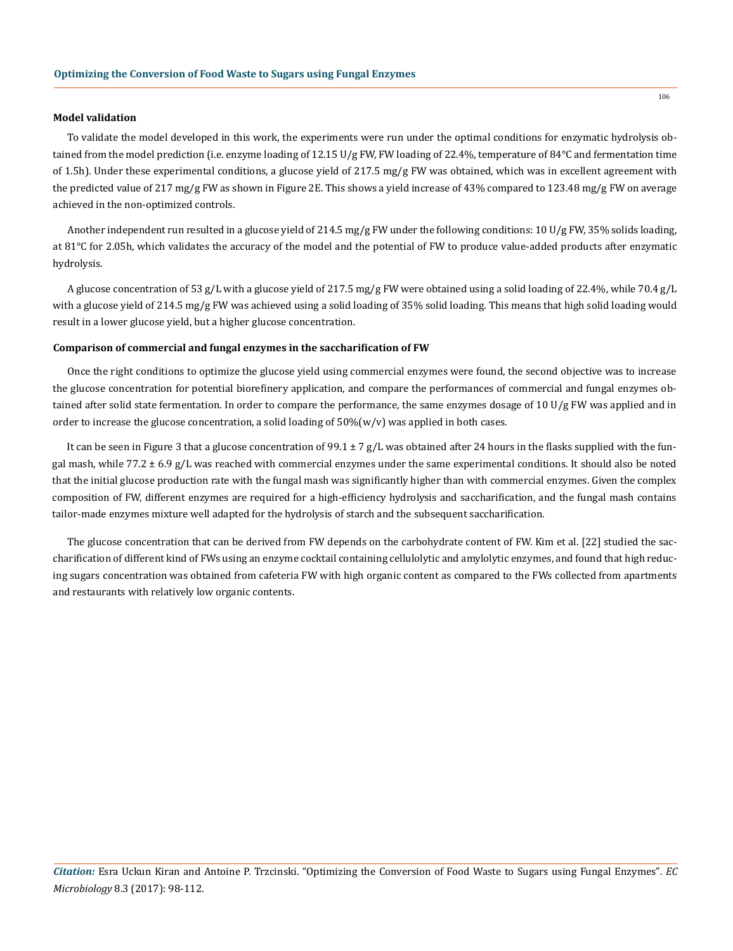#### **Model validation**

To validate the model developed in this work, the experiments were run under the optimal conditions for enzymatic hydrolysis obtained from the model prediction (i.e. enzyme loading of 12.15 U/g FW, FW loading of 22.4%, temperature of 84°C and fermentation time of 1.5h). Under these experimental conditions, a glucose yield of 217.5 mg/g FW was obtained, which was in excellent agreement with the predicted value of 217 mg/g FW as shown in Figure 2E. This shows a yield increase of 43% compared to 123.48 mg/g FW on average achieved in the non-optimized controls.

Another independent run resulted in a glucose yield of 214.5 mg/g FW under the following conditions: 10 U/g FW, 35% solids loading, at 81°C for 2.05h, which validates the accuracy of the model and the potential of FW to produce value-added products after enzymatic hydrolysis.

A glucose concentration of 53 g/L with a glucose yield of 217.5 mg/g FW were obtained using a solid loading of 22.4%, while 70.4 g/L with a glucose yield of 214.5 mg/g FW was achieved using a solid loading of 35% solid loading. This means that high solid loading would result in a lower glucose yield, but a higher glucose concentration.

#### **Comparison of commercial and fungal enzymes in the saccharification of FW**

Once the right conditions to optimize the glucose yield using commercial enzymes were found, the second objective was to increase the glucose concentration for potential biorefinery application, and compare the performances of commercial and fungal enzymes obtained after solid state fermentation. In order to compare the performance, the same enzymes dosage of 10 U/g FW was applied and in order to increase the glucose concentration, a solid loading of  $50\%(w/v)$  was applied in both cases.

It can be seen in Figure 3 that a glucose concentration of 99.1  $\pm$  7 g/L was obtained after 24 hours in the flasks supplied with the fungal mash, while 77.2  $\pm$  6.9 g/L was reached with commercial enzymes under the same experimental conditions. It should also be noted that the initial glucose production rate with the fungal mash was significantly higher than with commercial enzymes. Given the complex composition of FW, different enzymes are required for a high-efficiency hydrolysis and saccharification, and the fungal mash contains tailor-made enzymes mixture well adapted for the hydrolysis of starch and the subsequent saccharification.

The glucose concentration that can be derived from FW depends on the carbohydrate content of FW. Kim et al. [22] studied the saccharification of different kind of FWs using an enzyme cocktail containing cellulolytic and amylolytic enzymes, and found that high reducing sugars concentration was obtained from cafeteria FW with high organic content as compared to the FWs collected from apartments and restaurants with relatively low organic contents.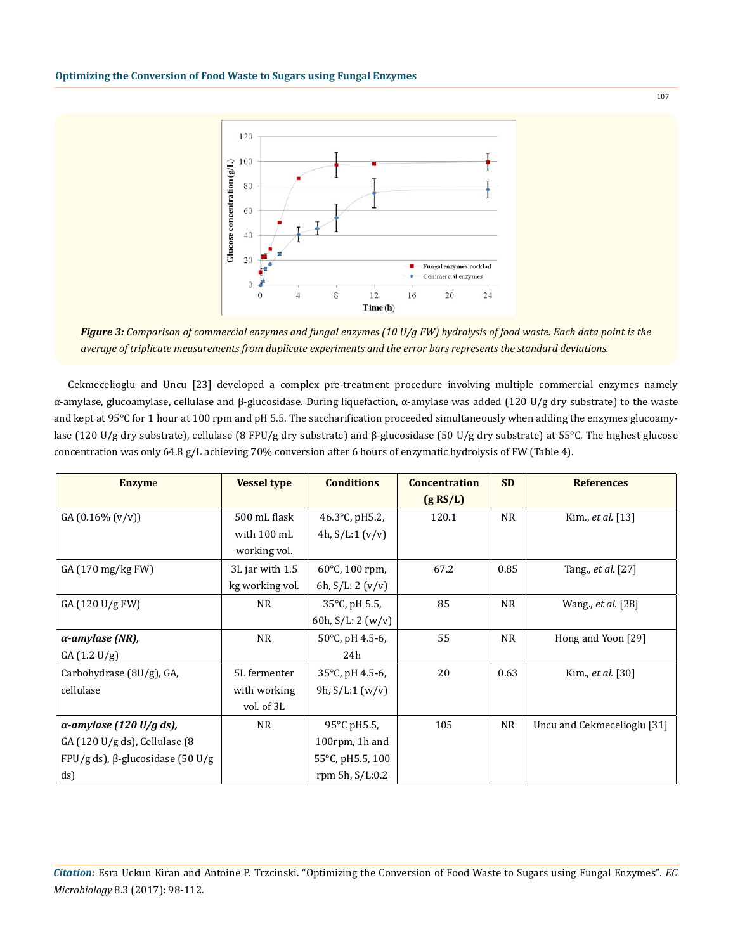

*Figure 3: Comparison of commercial enzymes and fungal enzymes (10 U/g FW) hydrolysis of food waste. Each data point is the average of triplicate measurements from duplicate experiments and the error bars represents the standard deviations.*

Cekmecelioglu and Uncu [23] developed a complex pre-treatment procedure involving multiple commercial enzymes namely α-amylase, glucoamylase, cellulase and β-glucosidase. During liquefaction, α-amylase was added (120 U/g dry substrate) to the waste and kept at 95°C for 1 hour at 100 rpm and pH 5.5. The saccharification proceeded simultaneously when adding the enzymes glucoamylase (120 U/g dry substrate), cellulase (8 FPU/g dry substrate) and β-glucosidase (50 U/g dry substrate) at 55°C. The highest glucose concentration was only 64.8 g/L achieving 70% conversion after 6 hours of enzymatic hydrolysis of FW (Table 4).

| <b>Enzyme</b>                             | <b>Vessel type</b> | <b>Conditions</b>         | <b>Concentration</b> |           | <b>References</b>           |
|-------------------------------------------|--------------------|---------------------------|----------------------|-----------|-----------------------------|
|                                           |                    |                           | (g RS/L)             |           |                             |
| $GA(0.16\% (v/v))$                        | 500 mL flask       | 46.3 $^{\circ}$ C, pH5.2, | 120.1                | <b>NR</b> | Kim., et al. [13]           |
|                                           | with 100 mL        | 4h, $S/L:1 (v/v)$         |                      |           |                             |
|                                           | working vol.       |                           |                      |           |                             |
| GA (170 mg/kg FW)                         | 3L jar with 1.5    | 60 $\degree$ C, 100 rpm,  | 67.2                 | 0.85      | Tang., et al. [27]          |
|                                           | kg working vol.    | 6h, $S/L: 2 (v/v)$        |                      |           |                             |
| GA (120 U/g FW)                           | <b>NR</b>          | 35°C, pH 5.5,             | 85                   | <b>NR</b> | Wang., <i>et al.</i> [28]   |
|                                           |                    | 60h, $S/L: 2 (w/v)$       |                      |           |                             |
| $\alpha$ -amylase (NR),                   | <b>NR</b>          | 50°C, pH 4.5-6,           | 55                   | <b>NR</b> | Hong and Yoon [29]          |
| GA(1.2 U/g)                               |                    | 24h                       |                      |           |                             |
| Carbohydrase (8U/g), GA,                  | 5L fermenter       | 35°C, pH 4.5-6,           | 20                   | 0.63      | Kim., et al. [30]           |
| cellulase                                 | with working       | 9h, $S/L:1 (w/v)$         |                      |           |                             |
|                                           | vol. of 3L         |                           |                      |           |                             |
| $\alpha$ -amylase (120 U/g ds),           | <b>NR</b>          | 95°C pH5.5,               | 105                  | <b>NR</b> | Uncu and Cekmecelioglu [31] |
| GA (120 U/g ds), Cellulase (8             |                    | 100rpm, 1h and            |                      |           |                             |
| $FPU/g ds$ , $\beta$ -glucosidase (50 U/g |                    | 55°C, pH5.5, 100          |                      |           |                             |
| ds)                                       |                    | rpm 5h, $S/L:0.2$         |                      |           |                             |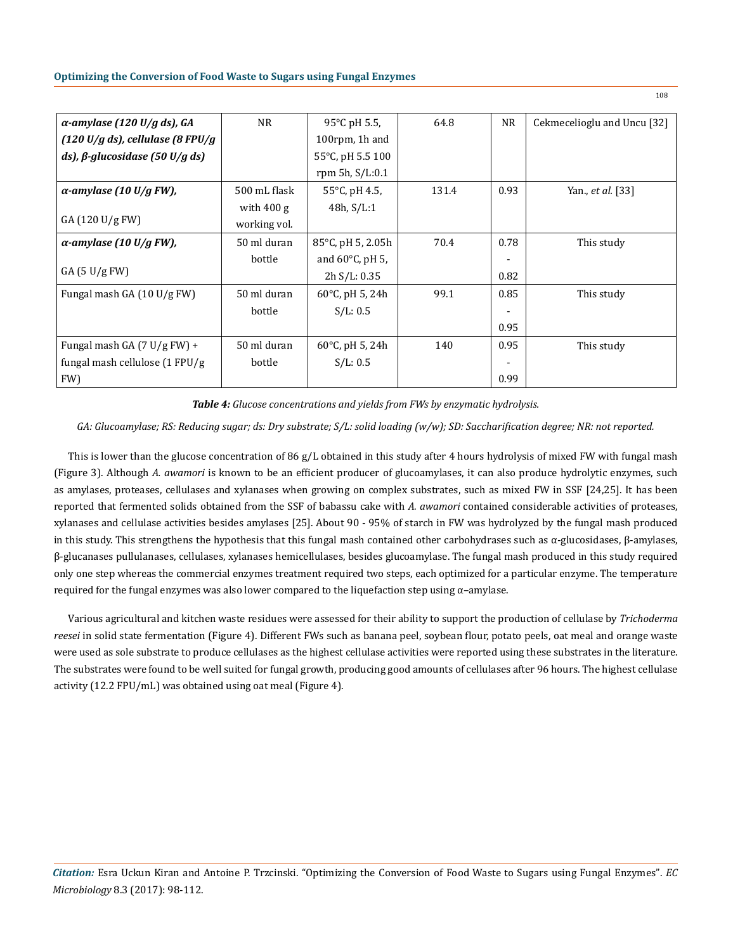| $\alpha$ -amylase (120 U/g ds), GA          | <b>NR</b>    | 95°C pH 5.5,                | 64.8  | <b>NR</b> | Cekmecelioglu and Uncu [32] |
|---------------------------------------------|--------------|-----------------------------|-------|-----------|-----------------------------|
| $(120 \text{ U/g ds})$ , cellulase (8 FPU/g |              | 100 $r$ pm, 1 $h$ and       |       |           |                             |
| ds), $\beta$ -glucosidase (50 U/g ds)       |              | 55°C, pH 5.5 100            |       |           |                             |
|                                             |              | rpm 5h, $S/L:0.1$           |       |           |                             |
| $\alpha$ -amylase (10 U/g FW),              | 500 mL flask | $55^{\circ}$ C, pH 4.5,     | 131.4 | 0.93      | Yan., et al. [33]           |
|                                             | with $400 g$ | 48h, S/L:1                  |       |           |                             |
| GA(120 U/gFW)                               | working vol. |                             |       |           |                             |
| $\alpha$ -amylase (10 U/g FW),              | 50 ml duran  | $85^{\circ}$ C, pH 5, 2.05h | 70.4  | 0.78      | This study                  |
|                                             | bottle       | and $60^{\circ}$ C, pH 5,   |       |           |                             |
| GA(5 U/gFW)                                 |              | 2h S/L: 0.35                |       | 0.82      |                             |
| Fungal mash GA (10 U/g FW)                  | 50 ml duran  | 60 $°C$ , pH 5, 24h         | 99.1  | 0.85      | This study                  |
|                                             | bottle       | S/L: 0.5                    |       |           |                             |
|                                             |              |                             |       | 0.95      |                             |
| Fungal mash GA (7 U/g FW) +                 | 50 ml duran  | 60 $\degree$ C, pH 5, 24h   | 140   | 0.95      | This study                  |
| fungal mash cellulose $(1$ FPU/g            | bottle       | S/L: 0.5                    |       |           |                             |
| FW)                                         |              |                             |       | 0.99      |                             |

*Table 4: Glucose concentrations and yields from FWs by enzymatic hydrolysis.* 

*GA: Glucoamylase; RS: Reducing sugar; ds: Dry substrate; S/L: solid loading (w/w); SD: Saccharification degree; NR: not reported.*

This is lower than the glucose concentration of 86 g/L obtained in this study after 4 hours hydrolysis of mixed FW with fungal mash (Figure 3). Although *A. awamori* is known to be an efficient producer of glucoamylases, it can also produce hydrolytic enzymes, such as amylases, proteases, cellulases and xylanases when growing on complex substrates, such as mixed FW in SSF [24,25]. It has been reported that fermented solids obtained from the SSF of babassu cake with *A. awamori* contained considerable activities of proteases, xylanases and cellulase activities besides amylases [25]. About 90 - 95% of starch in FW was hydrolyzed by the fungal mash produced in this study. This strengthens the hypothesis that this fungal mash contained other carbohydrases such as α-glucosidases, β-amylases, β-glucanases pullulanases, cellulases, xylanases hemicellulases, besides glucoamylase. The fungal mash produced in this study required only one step whereas the commercial enzymes treatment required two steps, each optimized for a particular enzyme. The temperature required for the fungal enzymes was also lower compared to the liquefaction step using α–amylase.

Various agricultural and kitchen waste residues were assessed for their ability to support the production of cellulase by *Trichoderma reesei* in solid state fermentation (Figure 4). Different FWs such as banana peel, soybean flour, potato peels, oat meal and orange waste were used as sole substrate to produce cellulases as the highest cellulase activities were reported using these substrates in the literature. The substrates were found to be well suited for fungal growth, producing good amounts of cellulases after 96 hours. The highest cellulase activity (12.2 FPU/mL) was obtained using oat meal (Figure 4).

*Citation:* Esra Uckun Kiran and Antoine P. Trzcinski. "Optimizing the Conversion of Food Waste to Sugars using Fungal Enzymes". *EC Microbiology* 8.3 (2017): 98-112.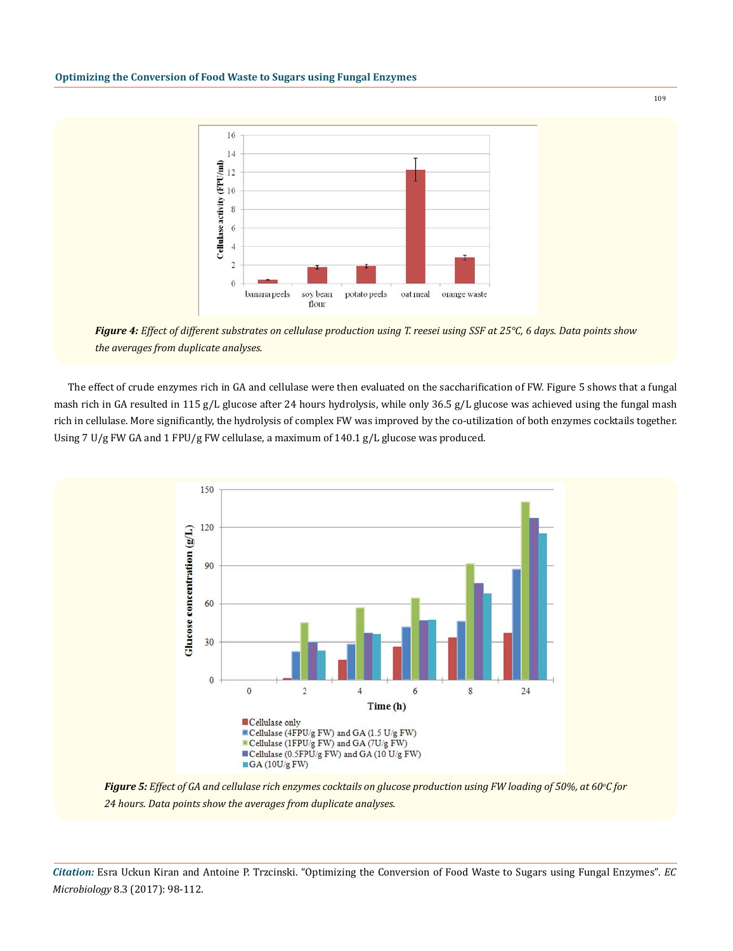

*Figure 4: Effect of different substrates on cellulase production using T. reesei using SSF at 25°C, 6 days. Data points show the averages from duplicate analyses.*

The effect of crude enzymes rich in GA and cellulase were then evaluated on the saccharification of FW. Figure 5 shows that a fungal mash rich in GA resulted in 115 g/L glucose after 24 hours hydrolysis, while only 36.5 g/L glucose was achieved using the fungal mash rich in cellulase. More significantly, the hydrolysis of complex FW was improved by the co-utilization of both enzymes cocktails together. Using 7 U/g FW GA and 1 FPU/g FW cellulase, a maximum of 140.1 g/L glucose was produced.



*Figure 5: Effect of GA and cellulase rich enzymes cocktails on glucose production using FW loading of 50%, at 60<sup>o</sup> C for 24 hours. Data points show the averages from duplicate analyses.*

*Citation:* Esra Uckun Kiran and Antoine P. Trzcinski. "Optimizing the Conversion of Food Waste to Sugars using Fungal Enzymes". *EC Microbiology* 8.3 (2017): 98-112.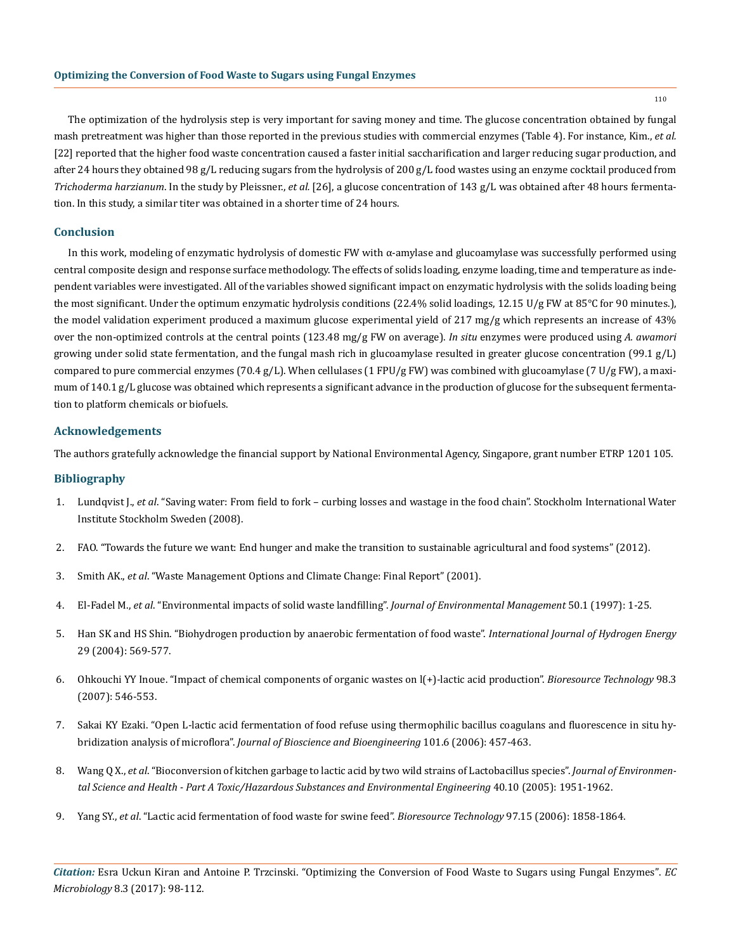110

The optimization of the hydrolysis step is very important for saving money and time. The glucose concentration obtained by fungal mash pretreatment was higher than those reported in the previous studies with commercial enzymes (Table 4). For instance, Kim., *et al.*  [22] reported that the higher food waste concentration caused a faster initial saccharification and larger reducing sugar production, and after 24 hours they obtained 98 g/L reducing sugars from the hydrolysis of 200 g/L food wastes using an enzyme cocktail produced from *Trichoderma harzianum*. In the study by Pleissner., *et al.* [26], a glucose concentration of 143 g/L was obtained after 48 hours fermentation. In this study, a similar titer was obtained in a shorter time of 24 hours.

#### **Conclusion**

In this work, modeling of enzymatic hydrolysis of domestic FW with α-amylase and glucoamylase was successfully performed using central composite design and response surface methodology. The effects of solids loading, enzyme loading, time and temperature as independent variables were investigated. All of the variables showed significant impact on enzymatic hydrolysis with the solids loading being the most significant. Under the optimum enzymatic hydrolysis conditions (22.4% solid loadings, 12.15 U/g FW at 85°C for 90 minutes.), the model validation experiment produced a maximum glucose experimental yield of 217 mg/g which represents an increase of 43% over the non-optimized controls at the central points (123.48 mg/g FW on average). *In situ* enzymes were produced using *A. awamori* growing under solid state fermentation, and the fungal mash rich in glucoamylase resulted in greater glucose concentration (99.1 g/L) compared to pure commercial enzymes (70.4 g/L). When cellulases (1 FPU/g FW) was combined with glucoamylase (7 U/g FW), a maximum of 140.1 g/L glucose was obtained which represents a significant advance in the production of glucose for the subsequent fermentation to platform chemicals or biofuels.

#### **Acknowledgements**

The authors gratefully acknowledge the financial support by National Environmental Agency, Singapore, grant number ETRP 1201 105.

# **Bibliography**

- 1. Lundqvist J., *et al*[. "Saving water: From field to fork curbing losses and wastage in the food chain". Stockholm International Water](http://www.siwi.org/wp-content/uploads/2015/09/PB_From_Filed_to_fork_2008.pdf) [Institute Stockholm Sweden \(2008\).](http://www.siwi.org/wp-content/uploads/2015/09/PB_From_Filed_to_fork_2008.pdf)
- 2. [FAO. "Towards the future we want: End hunger and make the transition to sustainable agricultural and food systems" \(2012\).](http://www.fao.org/docrep/015/an908e/an908e00.pdf)
- 3. Smith AK., *et al*. "Waste Management Options and Climate Change: Final Report" (2001).
- 4. El-Fadel M., *et al*[. "Environmental impacts of solid waste landfilling".](http://www.sciencedirect.com/science/article/pii/S0301479785701314) *Journal of Environmental Management* 50.1 (1997): 1-25.
- 5. [Han SK and HS Shin. "Biohydrogen production by anaerobic fermentation of food waste".](http://www.sciencedirect.com/science/article/pii/S0360319903002301) *International Journal of Hydrogen Energy* [29 \(2004\): 569-577.](http://www.sciencedirect.com/science/article/pii/S0360319903002301)
- 6. [Ohkouchi YY Inoue. "Impact of chemical components of organic wastes on l\(+\)-lactic acid production".](https://www.ncbi.nlm.nih.gov/pubmed/16546378) *Bioresource Technology* 98.3 [\(2007\): 546-553.](https://www.ncbi.nlm.nih.gov/pubmed/16546378)
- 7. [Sakai KY Ezaki. "Open L-lactic acid fermentation of food refuse using thermophilic bacillus coagulans and fluorescence in situ hy](http://www.sciencedirect.com/science/article/pii/S1389172306706107)bridization analysis of microflora". *[Journal of Bioscience and Bioengineering](http://www.sciencedirect.com/science/article/pii/S1389172306706107)* 101.6 (2006): 457-463.
- 8. Wang Q X., *et al*[. "Bioconversion of kitchen garbage to lactic acid by two wild strains of Lactobacillus species".](https://www.ncbi.nlm.nih.gov/pubmed/16194915) *Journal of Environmen[tal Science and Health - Part A Toxic/Hazardous Substances and Environmental Engineering](https://www.ncbi.nlm.nih.gov/pubmed/16194915)* 40.10 (2005): 1951-1962.
- 9. Yang SY., *et al*[. "Lactic acid fermentation of food waste for swine feed".](https://www.ncbi.nlm.nih.gov/pubmed/16257200) *Bioresource Technology* 97.15 (2006): 1858-1864.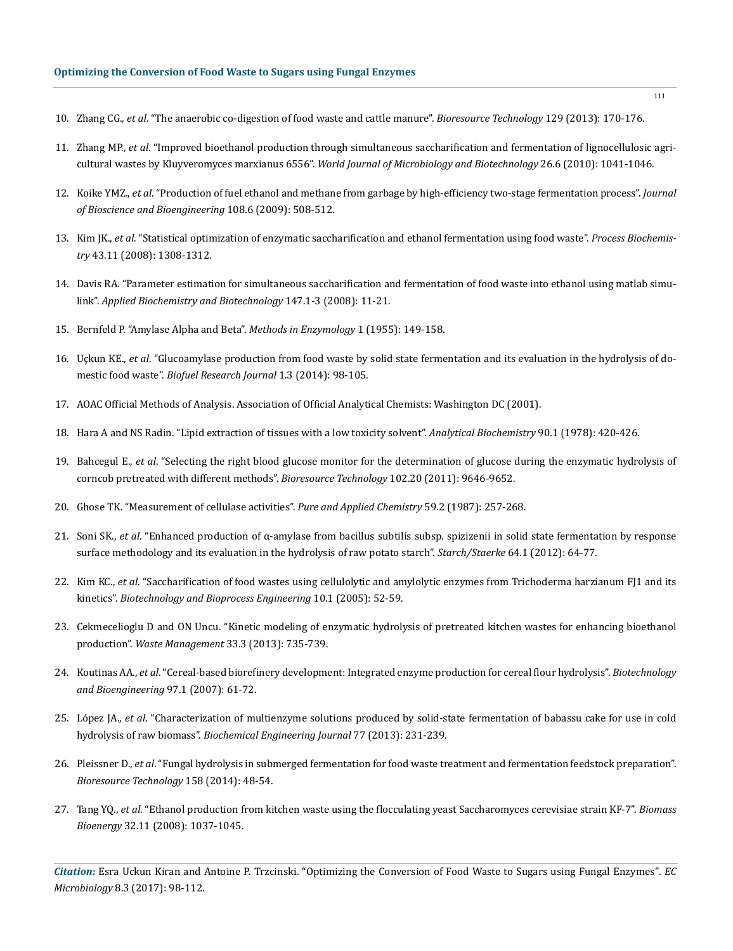# **Optimizing the Conversion of Food Waste to Sugars using Fungal Enzymes**

- 10. Zhang CG., *et al*[. "The anaerobic co-digestion of food waste and cattle manure".](https://www.ncbi.nlm.nih.gov/pubmed/23246757) *Bioresource Technology* 129 (2013): 170-176.
- 11. Zhang MP., *et al*[. "Improved bioethanol production through simultaneous saccharification and fermentation of lignocellulosic agri](https://www.researchgate.net/publication/225487600_Improved_bioethanol_production_through_simultaneous_saccharification_and_fermentation_of_lignocellulosic_agricultural_wastes_by_Kluyveromyces_marxianus_6556)cultural wastes by Kluyveromyces marxianus 6556". *[World Journal of Microbiology and Biotechnology](https://www.researchgate.net/publication/225487600_Improved_bioethanol_production_through_simultaneous_saccharification_and_fermentation_of_lignocellulosic_agricultural_wastes_by_Kluyveromyces_marxianus_6556)* 26.6 (2010): 1041-1046.
- 12. Koike YMZ., *et al*[. "Production of fuel ethanol and methane from garbage by high-efficiency two-stage fermentation process".](https://www.ncbi.nlm.nih.gov/pubmed/19914584) *Journal [of Bioscience and Bioengineering](https://www.ncbi.nlm.nih.gov/pubmed/19914584)* 108.6 (2009): 508-512.
- 13. Kim JK., *et al*[. "Statistical optimization of enzymatic saccharification and ethanol fermentation using food waste".](http://www.sciencedirect.com/science/article/pii/S135951130800216X) *Process Biochemistry* [43.11 \(2008\): 1308-1312.](http://www.sciencedirect.com/science/article/pii/S135951130800216X)
- 14. [Davis RA. "Parameter estimation for simultaneous saccharification and fermentation of food waste into ethanol using matlab simu](https://www.ncbi.nlm.nih.gov/pubmed/18401750)link". *[Applied Biochemistry and Biotechnology](https://www.ncbi.nlm.nih.gov/pubmed/18401750)* 147.1-3 (2008): 11-21.
- 15. Bernfeld P. "Amylase Alpha and Beta". *Methods in Enzymology* 1 (1955): 149-158.
- 16. Uçkun KE., *et al*[. "Glucoamylase production from food waste by solid state fermentation and its evaluation in the hydrolysis of do](https://www.biofueljournal.com/article_6167_542.html)mestic food waste". *[Biofuel Research Journal](https://www.biofueljournal.com/article_6167_542.html)* 1.3 (2014): 98-105.
- 17. AOAC Official Methods of Analysis. Association of Official Analytical Chemists: Washington DC (2001).
- 18. [Hara A and NS Radin. "Lipid extraction of tissues with a low toxicity solvent".](https://www.ncbi.nlm.nih.gov/pubmed/727482) *Analytical Biochemistry* 90.1 (1978): 420-426.
- 19. Bahcegul E., *et al*[. "Selecting the right blood glucose monitor for the determination of glucose during the enzymatic hydrolysis of](https://www.ncbi.nlm.nih.gov/pubmed/21880485)  [corncob pretreated with different methods".](https://www.ncbi.nlm.nih.gov/pubmed/21880485) *Bioresource Technology* 102.20 (2011): 9646-9652.
- 20. Ghose TK. "Measurement of cellulase activities". *Pure and Applied Chemistry* 59.2 (1987): 257-268.
- 21. Soni SK., *et al*[. "Enhanced production of α-amylase from bacillus subtilis subsp. spizizenii in solid state fermentation by response](http://onlinelibrary.wiley.com/doi/10.1002/star.201100119/abstract) [surface methodology and its evaluation in the hydrolysis of raw potato starch".](http://onlinelibrary.wiley.com/doi/10.1002/star.201100119/abstract) *Starch/Staerke* 64.1 (2012): 64-77.
- 22. Kim KC., *et al*[. "Saccharification of food wastes using cellulolytic and amylolytic enzymes from Trichoderma harzianum FJ1 and its](https://wenku.baidu.com/view/a42caa60ddccda38376baf15.html)  kinetics". *[Biotechnology and Bioprocess Engineering](https://wenku.baidu.com/view/a42caa60ddccda38376baf15.html)* 10.1 (2005): 52-59.
- 23. [Cekmecelioglu D and ON Uncu. "Kinetic modeling of enzymatic hydrolysis of pretreated kitchen wastes for enhancing bioethanol](https://www.researchgate.net/publication/230836530_Kinetic_modeling_of_enzymatic_hydrolysis_of_pretreated_kitchen_wastes_for_enhancing_bioethanol_production)  production". *[Waste Management](https://www.researchgate.net/publication/230836530_Kinetic_modeling_of_enzymatic_hydrolysis_of_pretreated_kitchen_wastes_for_enhancing_bioethanol_production)* 33.3 (2013): 735-739.
- 24. Koutinas AA., *et al*[. "Cereal-based biorefinery development: Integrated enzyme production for cereal flour hydrolysis".](https://www.ncbi.nlm.nih.gov/pubmed/17009318) *Biotechnology [and Bioengineering](https://www.ncbi.nlm.nih.gov/pubmed/17009318)* 97.1 (2007): 61-72.
- 25. López JA., *et al*[. "Characterization of multienzyme solutions produced by solid-state fermentation of babassu cake for use in cold](http://www.sciencedirect.com/science/article/pii/S1369703X1300171X)  hydrolysis of raw biomass". *[Biochemical Engineering Journal](http://www.sciencedirect.com/science/article/pii/S1369703X1300171X)* 77 (2013): 231-239.
- 26. Pleissner D., *et al*[. "Fungal hydrolysis in submerged fermentation for food waste treatment and fermentation feedstock preparation".](https://www.researchgate.net/publication/260445257_Fungal_hydrolysis_in_submerged_fermentation_for_food_waste_treatment_and_fermentation_feedstock_preparation)  *[Bioresource Technology](https://www.researchgate.net/publication/260445257_Fungal_hydrolysis_in_submerged_fermentation_for_food_waste_treatment_and_fermentation_feedstock_preparation)* 158 (2014): 48-54.
- 27. Tang YQ., *et al*[. "Ethanol production from kitchen waste using the flocculating yeast Saccharomyces cerevisiae strain KF-7".](https://www.researchgate.net/publication/223059473_Ethanol_production_from_kitchen_waste_using_the_flocculating_yeast_Saccharomyces_cerevisiae_strain_KF-7) *Biomass Bioenergy* [32.11 \(2008\): 1037-1045.](https://www.researchgate.net/publication/223059473_Ethanol_production_from_kitchen_waste_using_the_flocculating_yeast_Saccharomyces_cerevisiae_strain_KF-7)

*Citation:* Esra Uckun Kiran and Antoine P. Trzcinski. "Optimizing the Conversion of Food Waste to Sugars using Fungal Enzymes". *EC Microbiology* 8.3 (2017): 98-112.